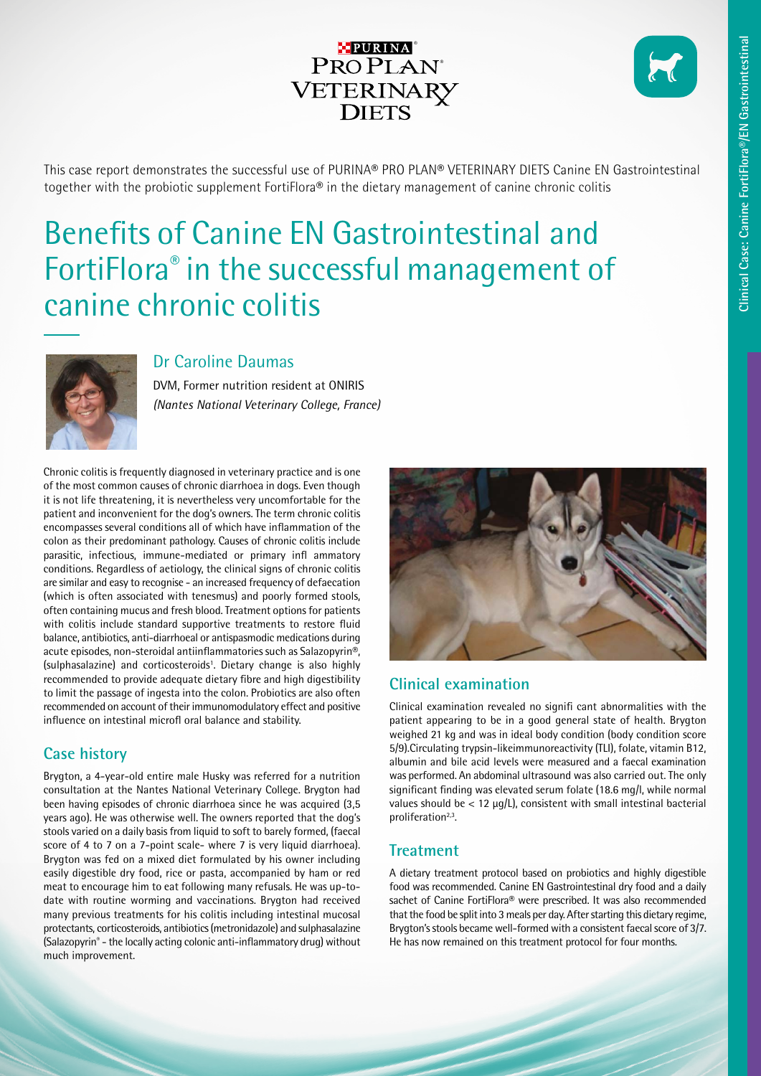## **PURINA**® PROPLAN<sup>®</sup> VETERINARY<br>DIETS

This case report demonstrates the successful use of PURINA® PRO PLAN® VETERINARY DIETS Canine EN Gastrointestinal together with the probiotic supplement FortiFlora® in the dietary management of canine chronic colitis

# Benefits of Canine EN Gastrointestinal and FortiFlora® in the successful management of canine chronic colitis



### Dr Caroline Daumas

DVM, Former nutrition resident at ONIRIS *(Nantes National Veterinary College, France)*

Chronic colitis is frequently diagnosed in veterinary practice and is one of the most common causes of chronic diarrhoea in dogs. Even though it is not life threatening, it is nevertheless very uncomfortable for the patient and inconvenient for the dog's owners. The term chronic colitis encompasses several conditions all of which have inflammation of the colon as their predominant pathology. Causes of chronic colitis include parasitic, infectious, immune-mediated or primary infl ammatory conditions. Regardless of aetiology, the clinical signs of chronic colitis are similar and easy to recognise - an increased frequency of defaecation (which is often associated with tenesmus) and poorly formed stools, often containing mucus and fresh blood. Treatment options for patients with colitis include standard supportive treatments to restore fluid balance, antibiotics, anti-diarrhoeal or antispasmodic medications during acute episodes, non-steroidal antiinflammatories such as Salazopyrin®, (sulphasalazine) and corticosteroids<sup>1</sup>. Dietary change is also highly recommended to provide adequate dietary fibre and high digestibility to limit the passage of ingesta into the colon. Probiotics are also often recommended on account of their immunomodulatory effect and positive influence on intestinal microfl oral balance and stability.

## **Case history**

Brygton, a 4-year-old entire male Husky was referred for a nutrition consultation at the Nantes National Veterinary College. Brygton had been having episodes of chronic diarrhoea since he was acquired (3,5 years ago). He was otherwise well. The owners reported that the dog's stools varied on a daily basis from liquid to soft to barely formed, (faecal score of 4 to 7 on a 7-point scale- where 7 is very liquid diarrhoea). Brygton was fed on a mixed diet formulated by his owner including easily digestible dry food, rice or pasta, accompanied by ham or red meat to encourage him to eat following many refusals. He was up-todate with routine worming and vaccinations. Brygton had received many previous treatments for his colitis including intestinal mucosal protectants, corticosteroids, antibiotics (metronidazole) and sulphasalazine (Salazopyrin® - the locally acting colonic anti-inflammatory drug) without much improvement.



## **Clinical examination**

Clinical examination revealed no signifi cant abnormalities with the patient appearing to be in a good general state of health. Brygton weighed 21 kg and was in ideal body condition (body condition score 5/9).Circulating trypsin-likeimmunoreactivity (TLI), folate, vitamin B12, albumin and bile acid levels were measured and a faecal examination was performed. An abdominal ultrasound was also carried out. The only significant finding was elevated serum folate (18.6 mg/l, while normal values should be < 12 μg/L), consistent with small intestinal bacterial proliferation<sup>2,3</sup>.

## **Treatment**

A dietary treatment protocol based on probiotics and highly digestible food was recommended. Canine EN Gastrointestinal dry food and a daily sachet of Canine FortiFlora® were prescribed. It was also recommended that the food be split into 3 meals per day. After starting this dietary regime, Brygton's stools became well-formed with a consistent faecal score of 3/7. He has now remained on this treatment protocol for four months.